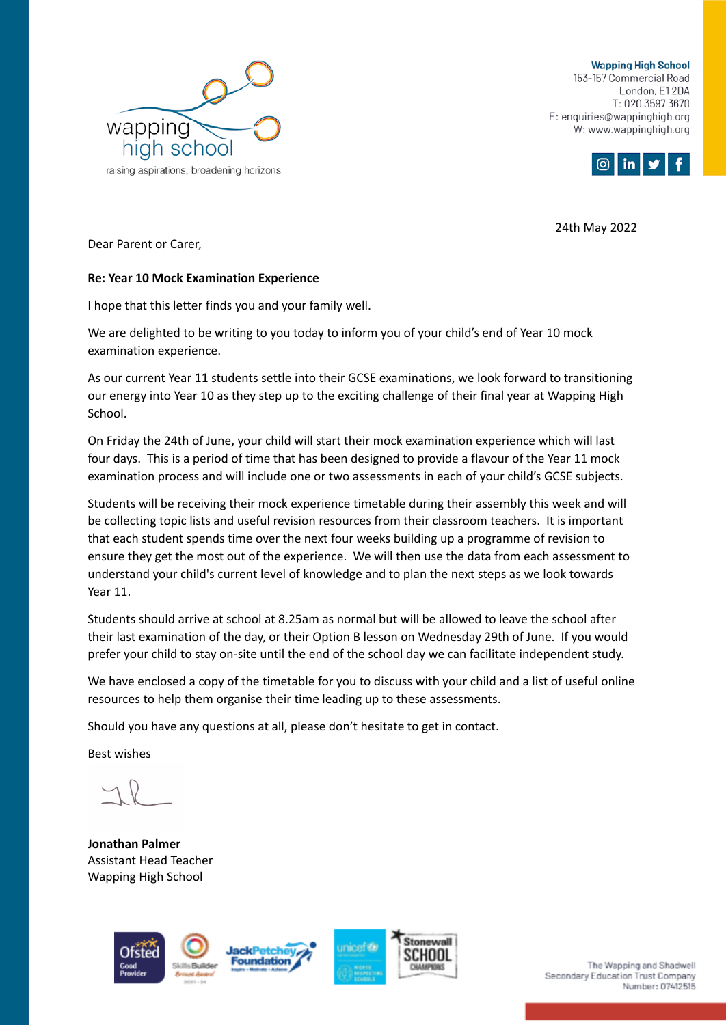

**Wapping High School** 153-157 Commercial Road London, E12DA T: 020 3597 3670 E: enquiries@wappinghigh.org W: www.wappinghigh.org



24th May 2022

Dear Parent or Carer,

## **Re: Year 10 Mock Examination Experience**

I hope that this letter finds you and your family well.

We are delighted to be writing to you today to inform you of your child's end of Year 10 mock examination experience.

As our current Year 11 students settle into their GCSE examinations, we look forward to transitioning our energy into Year 10 as they step up to the exciting challenge of their final year at Wapping High School.

On Friday the 24th of June, your child will start their mock examination experience which will last four days. This is a period of time that has been designed to provide a flavour of the Year 11 mock examination process and will include one or two assessments in each of your child's GCSE subjects.

Students will be receiving their mock experience timetable during their assembly this week and will be collecting topic lists and useful revision resources from their classroom teachers. It is important that each student spends time over the next four weeks building up a programme of revision to ensure they get the most out of the experience. We will then use the data from each assessment to understand your child's current level of knowledge and to plan the next steps as we look towards Year 11.

Students should arrive at school at 8.25am as normal but will be allowed to leave the school after their last examination of the day, or their Option B lesson on Wednesday 29th of June. If you would prefer your child to stay on-site until the end of the school day we can facilitate independent study.

We have enclosed a copy of the timetable for you to discuss with your child and a list of useful online resources to help them organise their time leading up to these assessments.

Should you have any questions at all, please don't hesitate to get in contact.

Best wishes

**Jonathan Palmer** Assistant Head Teacher Wapping High School







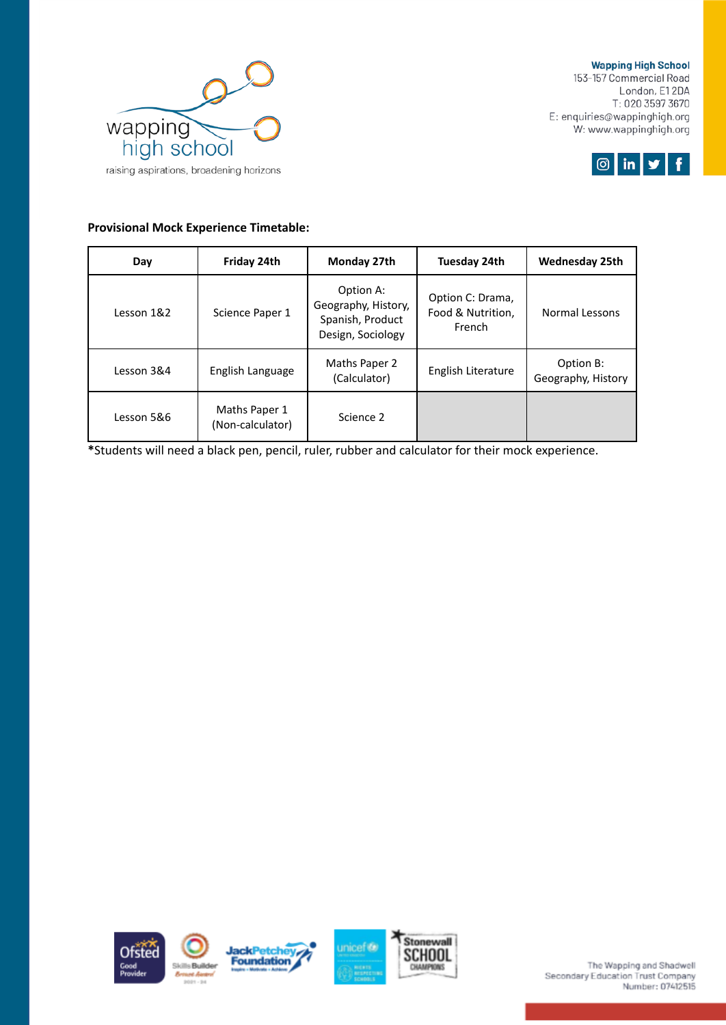

**Wapping High School** 153-157 Commercial Road London, E12DA T: 020 3597 3670 E: enquiries@wappinghigh.org W: www.wappinghigh.org



## **Provisional Mock Experience Timetable:**

| Day        | Friday 24th                       | Monday 27th                                                               | Tuesday 24th                                    | <b>Wednesday 25th</b>           |
|------------|-----------------------------------|---------------------------------------------------------------------------|-------------------------------------------------|---------------------------------|
| Lesson 1&2 | Science Paper 1                   | Option A:<br>Geography, History,<br>Spanish, Product<br>Design, Sociology | Option C: Drama,<br>Food & Nutrition,<br>French | Normal Lessons                  |
| Lesson 3&4 | English Language                  | Maths Paper 2<br>(Calculator)                                             | English Literature                              | Option B:<br>Geography, History |
| Lesson 5&6 | Maths Paper 1<br>(Non-calculator) | Science 2                                                                 |                                                 |                                 |

**\***Students will need a black pen, pencil, ruler, rubber and calculator for their mock experience.